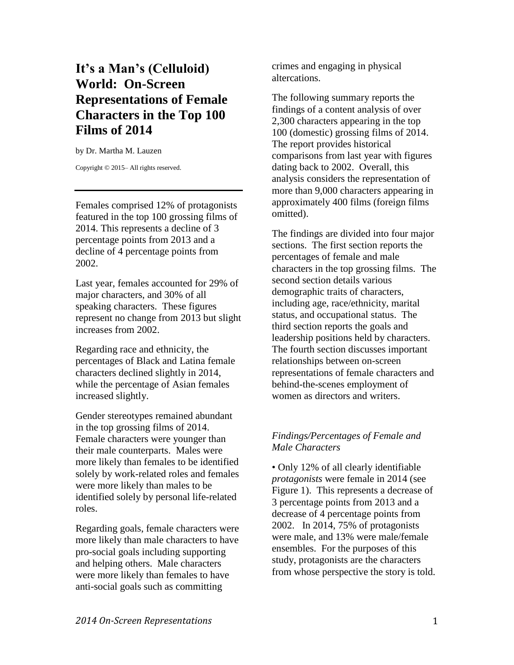# **It's a Man's (Celluloid) World: On-Screen Representations of Female Characters in the Top 100 Films of 2014**

by Dr. Martha M. Lauzen

Copyright © 2015– All rights reserved.

Females comprised 12% of protagonists featured in the top 100 grossing films of 2014. This represents a decline of 3 percentage points from 2013 and a decline of 4 percentage points from 2002.

Last year, females accounted for 29% of major characters, and 30% of all speaking characters. These figures represent no change from 2013 but slight increases from 2002.

Regarding race and ethnicity, the percentages of Black and Latina female characters declined slightly in 2014, while the percentage of Asian females increased slightly.

Gender stereotypes remained abundant in the top grossing films of 2014. Female characters were younger than their male counterparts. Males were more likely than females to be identified solely by work-related roles and females were more likely than males to be identified solely by personal life-related roles.

Regarding goals, female characters were more likely than male characters to have pro-social goals including supporting and helping others. Male characters were more likely than females to have anti-social goals such as committing

crimes and engaging in physical altercations.

The following summary reports the findings of a content analysis of over 2,300 characters appearing in the top 100 (domestic) grossing films of 2014. The report provides historical comparisons from last year with figures dating back to 2002. Overall, this analysis considers the representation of more than 9,000 characters appearing in approximately 400 films (foreign films omitted).

The findings are divided into four major sections. The first section reports the percentages of female and male characters in the top grossing films. The second section details various demographic traits of characters, including age, race/ethnicity, marital status, and occupational status. The third section reports the goals and leadership positions held by characters. The fourth section discusses important relationships between on-screen representations of female characters and behind-the-scenes employment of women as directors and writers.

## *Findings/Percentages of Female and Male Characters*

• Only 12% of all clearly identifiable *protagonists* were female in 2014 (see Figure 1). This represents a decrease of 3 percentage points from 2013 and a decrease of 4 percentage points from 2002. In 2014, 75% of protagonists were male, and 13% were male/female ensembles. For the purposes of this study, protagonists are the characters from whose perspective the story is told.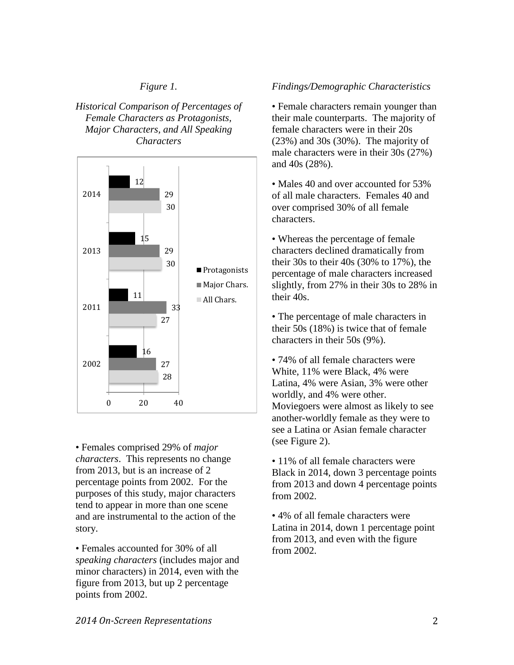## *Figure 1.*

*Historical Comparison of Percentages of Female Characters as Protagonists, Major Characters, and All Speaking Characters*



• Females comprised 29% of *major characters*. This represents no change from 2013, but is an increase of 2 percentage points from 2002. For the purposes of this study, major characters tend to appear in more than one scene and are instrumental to the action of the story.

• Females accounted for 30% of all *speaking characters* (includes major and minor characters) in 2014, even with the figure from 2013, but up 2 percentage points from 2002.

### *Findings/Demographic Characteristics*

• Female characters remain younger than their male counterparts. The majority of female characters were in their 20s (23%) and 30s (30%). The majority of male characters were in their 30s (27%) and 40s (28%).

• Males 40 and over accounted for 53% of all male characters. Females 40 and over comprised 30% of all female characters.

• Whereas the percentage of female characters declined dramatically from their 30s to their 40s (30% to 17%), the percentage of male characters increased slightly, from 27% in their 30s to 28% in their 40s.

• The percentage of male characters in their 50s (18%) is twice that of female characters in their 50s (9%).

• 74% of all female characters were White, 11% were Black, 4% were Latina, 4% were Asian, 3% were other worldly, and 4% were other. Moviegoers were almost as likely to see another-worldly female as they were to see a Latina or Asian female character (see Figure 2).

• 11% of all female characters were Black in 2014, down 3 percentage points from 2013 and down 4 percentage points from 2002.

• 4% of all female characters were Latina in 2014, down 1 percentage point from 2013, and even with the figure from 2002.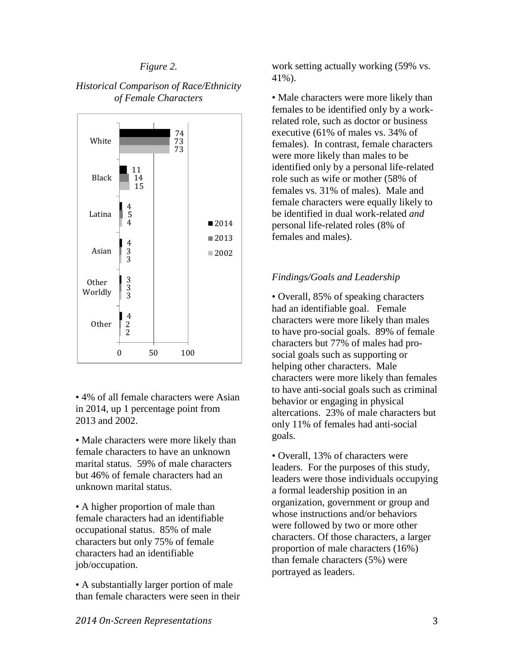#### *Figure 2.*





• 4% of all female characters were Asian in 2014, up 1 percentage point from 2013 and 2002.

• Male characters were more likely than female characters to have an unknown marital status. 59% of male characters but 46% of female characters had an unknown marital status.

• A higher proportion of male than female characters had an identifiable occupational status. 85% of male characters but only 75% of female characters had an identifiable job/occupation.

• A substantially larger portion of male than female characters were seen in their work setting actually working (59% vs. 41%).

• Male characters were more likely than females to be identified only by a workrelated role, such as doctor or business executive (61% of males vs. 34% of females). In contrast, female characters were more likely than males to be identified only by a personal life-related role such as wife or mother (58% of females vs. 31% of males). Male and female characters were equally likely to be identified in dual work-related *and* personal life-related roles (8% of females and males).

#### *Findings/Goals and Leadership*

• Overall, 85% of speaking characters had an identifiable goal. Female characters were more likely than males to have pro-social goals. 89% of female characters but 77% of males had prosocial goals such as supporting or helping other characters. Male characters were more likely than females to have anti-social goals such as criminal behavior or engaging in physical altercations. 23% of male characters but only 11% of females had anti-social goals.

• Overall, 13% of characters were leaders. For the purposes of this study, leaders were those individuals occupying a formal leadership position in an organization, government or group and whose instructions and/or behaviors were followed by two or more other characters. Of those characters, a larger proportion of male characters (16%) than female characters (5%) were portrayed as leaders.